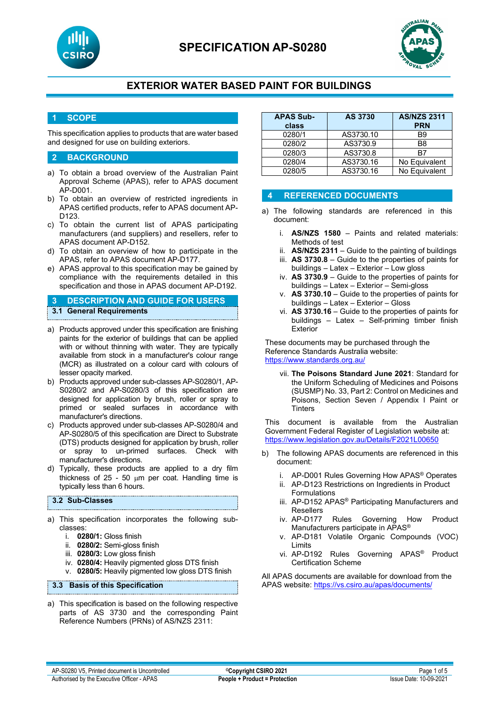



#### **1 SCOPE**

This specification applies to products that are water based and designed for use on building exteriors.

#### **2 BACKGROUND**

- a) To obtain a broad overview of the Australian Paint Approval Scheme (APAS), refer to APAS document AP-D001.
- b) To obtain an overview of restricted ingredients in APAS certified products, refer to APAS document AP-D123.
- c) To obtain the current list of APAS participating manufacturers (and suppliers) and resellers, refer to APAS document AP-D152.
- d) To obtain an overview of how to participate in the APAS, refer to APAS document AP-D177.
- e) APAS approval to this specification may be gained by compliance with the requirements detailed in this specification and those in APAS document AP-D192.

### **3 DESCRIPTION AND GUIDE FOR USERS 3.1 General Requirements**

- a) Products approved under this specification are finishing paints for the exterior of buildings that can be applied with or without thinning with water. They are typically available from stock in a manufacturer's colour range (MCR) as illustrated on a colour card with colours of lesser opacity marked.
- b) Products approved under sub-classes AP-S0280/1, AP-S0280/2 and AP-S0280/3 of this specification are designed for application by brush, roller or spray to primed or sealed surfaces in accordance with manufacturer's directions.
- c) Products approved under sub-classes AP-S0280/4 and AP-S0280/5 of this specification are Direct to Substrate (DTS) products designed for application by brush, roller or spray to un-primed surfaces. Check with manufacturer's directions.
- d) Typically, these products are applied to a dry film thickness of  $25 - 50$  µm per coat. Handling time is typically less than 6 hours.

#### **3.2 Sub-Classes**

- a) This specification incorporates the following subclasses:
	- i. **0280/1:** Gloss finish
	- ii. **0280/2:** Semi-gloss finish
	- iii. **0280/3:** Low gloss finish
	- iv. **0280/4:** Heavily pigmented gloss DTS finish
	- v. **0280/5:** Heavily pigmented low gloss DTS finish

#### **3.3 Basis of this Specification**

a) This specification is based on the following respective parts of AS 3730 and the corresponding Paint Reference Numbers (PRNs) of AS/NZS 2311:

| <b>APAS Sub-</b><br>class | <b>AS 3730</b> | <b>AS/NZS 2311</b><br><b>PRN</b> |
|---------------------------|----------------|----------------------------------|
| 0280/1                    | AS3730.10      | <b>B</b> 9                       |
| 0280/2                    | AS3730.9       | B <sub>8</sub>                   |
| 0280/3                    | AS3730.8       | R7                               |
| 0280/4                    | AS3730.16      | No Equivalent                    |
| 0280/5                    | AS3730.16      | No Equivalent                    |

#### **4 REFERENCED DOCUMENTS**

- a) The following standards are referenced in this document:
	- i. **AS/NZS 1580** Paints and related materials: Methods of test
	- ii. **AS/NZS 2311**  Guide to the painting of buildings
	- iii. **AS 3730.8** Guide to the properties of paints for buildings – Latex – Exterior – Low gloss
	- iv. **AS 3730.9** Guide to the properties of paints for buildings – Latex – Exterior – Semi-gloss
	- v. **AS 3730.10** Guide to the properties of paints for buildings – Latex – Exterior – Gloss
	- vi. **AS 3730.16** Guide to the properties of paints for buildings – Latex – Self-priming timber finish Exterior

These documents may be purchased through the Reference Standards Australia website: <https://www.standards.org.au/>

vii. **The Poisons Standard June 2021**: Standard for the Uniform Scheduling of Medicines and Poisons (SUSMP) No. 33, Part 2: Control on Medicines and Poisons, Section Seven / Appendix I Paint or **Tinters** 

This document is available from the Australian Government Federal Register of Legislation website at: <https://www.legislation.gov.au/Details/F2021L00650>

- b) The following APAS documents are referenced in this document:
	- i. AP-D001 Rules Governing How APAS® Operates
	- ii. AP-D123 Restrictions on Ingredients in Product Formulations
	- iii. AP-D152 APAS® Participating Manufacturers and
	- Resellers<br>iv. AP-D177 Rules Governing How Product Manufacturers participate in APAS®
	- v. AP-D181 Volatile Organic Compounds (VOC) Limits
	- vi. AP-D192 Rules Governing APAS® Product Certification Scheme

All APAS documents are available for download from the APAS website: <https://vs.csiro.au/apas/documents/>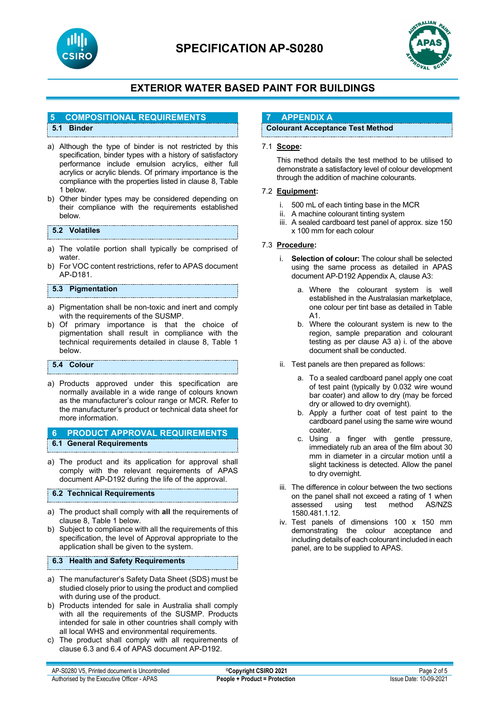

# **SPECIFICATION AP-S0280**



# **EXTERIOR WATER BASED PAINT FOR BUILDINGS**

#### **5 COMPOSITIONAL REQUIREMENTS**

#### **5.1 Binder**

- a) Although the type of binder is not restricted by this specification, binder types with a history of satisfactory performance include emulsion acrylics, either full acrylics or acrylic blends. Of primary importance is the compliance with the properties listed in clause 8, Table 1 below.
- b) Other binder types may be considered depending on their compliance with the requirements established below.

#### **5.2 Volatiles**

- a) The volatile portion shall typically be comprised of water.
- b) For VOC content restrictions, refer to APAS document AP-D181.

#### **5.3 Pigmentation**

- a) Pigmentation shall be non-toxic and inert and comply with the requirements of the SUSMP.
- b) Of primary importance is that the choice of pigmentation shall result in compliance with the technical requirements detailed in clause 8, Table 1 below.

#### **5.4 Colour**

a) Products approved under this specification are normally available in a wide range of colours known as the manufacturer's colour range or MCR. Refer to the manufacturer's product or technical data sheet for more information.

#### **6 PRODUCT APPROVAL REQUIREMENTS 6.1 General Requirements**

a) The product and its application for approval shall comply with the relevant requirements of APAS document AP-D192 during the life of the approval.

#### **6.2 Technical Requirements**

- a) The product shall comply with **all** the requirements of clause 8, Table 1 below.
- b) Subject to compliance with all the requirements of this specification, the level of Approval appropriate to the application shall be given to the system.

#### **6.3 Health and Safety Requirements**

- a) The manufacturer's Safety Data Sheet (SDS) must be studied closely prior to using the product and complied with during use of the product.
- b) Products intended for sale in Australia shall comply with all the requirements of the SUSMP. Products intended for sale in other countries shall comply with all local WHS and environmental requirements.
- c) The product shall comply with all requirements of clause 6.3 and 6.4 of APAS document AP-D192.

#### **7 APPENDIX A**

#### **Colourant Acceptance Test Method**

#### 7.1 **Scope:**

This method details the test method to be utilised to demonstrate a satisfactory level of colour development through the addition of machine colourants.

#### 7.2 **Equipment:**

- i. 500 mL of each tinting base in the MCR
- ii. A machine colourant tinting system
- iii. A sealed cardboard test panel of approx. size 150 x 100 mm for each colour

#### 7.3 **Procedure:**

- i. **Selection of colour:** The colour shall be selected using the same process as detailed in APAS document AP-D192 Appendix A, clause A3:
	- a. Where the colourant system is well established in the Australasian marketplace, one colour per tint base as detailed in Table A1.
	- b. Where the colourant system is new to the region, sample preparation and colourant testing as per clause A3 a) i. of the above document shall be conducted.
- ii. Test panels are then prepared as follows:
	- a. To a sealed cardboard panel apply one coat of test paint (typically by 0.032 wire wound bar coater) and allow to dry (may be forced dry or allowed to dry overnight).
	- b. Apply a further coat of test paint to the cardboard panel using the same wire wound coater.
	- c. Using a finger with gentle pressure, immediately rub an area of the film about 30 mm in diameter in a circular motion until a slight tackiness is detected. Allow the panel to dry overnight.
- iii. The difference in colour between the two sections on the panel shall not exceed a rating of 1 when<br>assessed using test method AS/NZS test method 1580.481.1.12.
- iv. Test panels of dimensions 100 x 150 mm demonstrating the colour acceptance and including details of each colourant included in each panel, are to be supplied to APAS.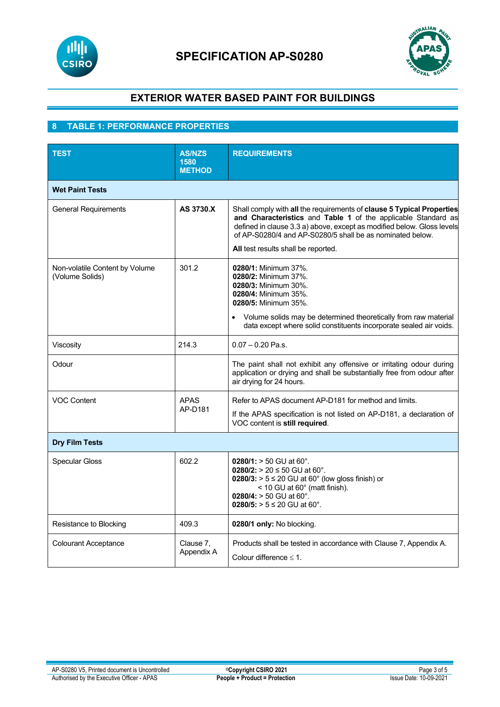



### **8 TABLE 1: PERFORMANCE PROPERTIES**

| <b>TEST</b>                                       | <b>AS/NZS</b><br>1580<br><b>METHOD</b> | <b>REQUIREMENTS</b>                                                                                                                                                                                                                                                                                                  |  |  |
|---------------------------------------------------|----------------------------------------|----------------------------------------------------------------------------------------------------------------------------------------------------------------------------------------------------------------------------------------------------------------------------------------------------------------------|--|--|
| <b>Wet Paint Tests</b>                            |                                        |                                                                                                                                                                                                                                                                                                                      |  |  |
| <b>General Requirements</b>                       | AS 3730.X                              | Shall comply with all the requirements of clause 5 Typical Properties<br>and Characteristics and Table 1 of the applicable Standard as<br>defined in clause 3.3 a) above, except as modified below. Gloss levels<br>of AP-S0280/4 and AP-S0280/5 shall be as nominated below.<br>All test results shall be reported. |  |  |
| Non-volatile Content by Volume<br>(Volume Solids) | 301.2                                  | 0280/1: Minimum 37%.<br>0280/2: Minimum 37%.<br>0280/3: Minimum 30%.<br>0280/4: Minimum 35%.<br>0280/5: Minimum 35%.<br>Volume solids may be determined theoretically from raw material<br>data except where solid constituents incorporate sealed air voids.                                                        |  |  |
| Viscosity                                         | 214.3                                  | $0.07 - 0.20$ Pa.s.                                                                                                                                                                                                                                                                                                  |  |  |
| Odour                                             |                                        | The paint shall not exhibit any offensive or irritating odour during<br>application or drying and shall be substantially free from odour after<br>air drying for 24 hours.                                                                                                                                           |  |  |
| <b>VOC Content</b>                                | <b>APAS</b><br>AP-D181                 | Refer to APAS document AP-D181 for method and limits.<br>If the APAS specification is not listed on AP-D181, a declaration of<br>VOC content is still required.                                                                                                                                                      |  |  |
| <b>Dry Film Tests</b>                             |                                        |                                                                                                                                                                                                                                                                                                                      |  |  |
| <b>Specular Gloss</b>                             | 602.2                                  | $0280/1$ : $> 50$ GU at 60°.<br>0280/2: > 20 ≤ 50 GU at 60°.<br>$0280/3$ : > 5 ≤ 20 GU at 60 $^{\circ}$ (low gloss finish) or<br>< 10 GU at 60° (matt finish).<br>0280/4: $> 50$ GU at 60°.<br>0280/5: > $5 ≤ 20$ GU at 60°.                                                                                         |  |  |
| Resistance to Blocking                            | 409.3                                  | 0280/1 only: No blocking.                                                                                                                                                                                                                                                                                            |  |  |
| <b>Colourant Acceptance</b>                       | Clause 7,<br>Appendix A                | Products shall be tested in accordance with Clause 7, Appendix A.<br>Colour difference $\leq 1$ .                                                                                                                                                                                                                    |  |  |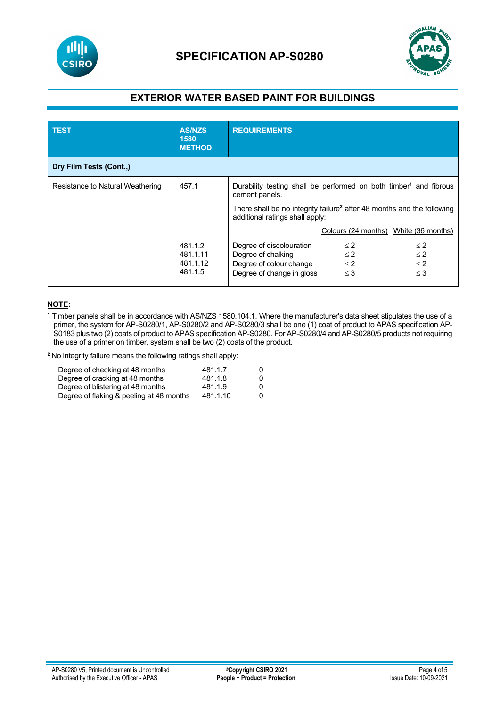



| <b>TEST</b>                      | <b>AS/NZS</b><br>1580<br><b>METHOD</b>     | <b>REQUIREMENTS</b>                                                                                                   |                                              |                                              |
|----------------------------------|--------------------------------------------|-----------------------------------------------------------------------------------------------------------------------|----------------------------------------------|----------------------------------------------|
| Dry Film Tests (Cont.,)          |                                            |                                                                                                                       |                                              |                                              |
| Resistance to Natural Weathering | 457.1                                      | Durability testing shall be performed on both timber <sup>1</sup> and fibrous<br>cement panels.                       |                                              |                                              |
|                                  |                                            | There shall be no integrity failure <sup>2</sup> after 48 months and the following<br>additional ratings shall apply: |                                              |                                              |
|                                  |                                            |                                                                                                                       | Colours (24 months) White (36 months)        |                                              |
|                                  | 481.1.2<br>481.1.11<br>481.1.12<br>481.1.5 | Degree of discolouration<br>Degree of chalking<br>Degree of colour change<br>Degree of change in gloss                | $\leq$ 2<br>$\leq$ 2<br>$\leq$ 2<br>$\leq$ 3 | $\leq$ 2<br>$\leq$ 2<br>$\leq$ 2<br>$\leq$ 3 |

#### **NOTE:**

**<sup>1</sup>** Timber panels shall be in accordance with AS/NZS 1580.104.1. Where the manufacturer's data sheet stipulates the use of a primer, the system for AP-S0280/1, AP-S0280/2 and AP-S0280/3 shall be one (1) coat of product to APAS specification AP-S0183 plus two (2) coats of product to APAS specification AP-S0280. For AP-S0280/4 and AP-S0280/5 products not requiring the use of a primer on timber, system shall be two (2) coats of the product.

**<sup>2</sup>**No integrity failure means the following ratings shall apply:

| Degree of checking at 48 months          | 481.1.7  | O            |
|------------------------------------------|----------|--------------|
| Degree of cracking at 48 months          | 481.1.8  | O            |
| Degree of blistering at 48 months        | 481.1.9  | $\mathbf{0}$ |
| Degree of flaking & peeling at 48 months | 481.1.10 | 0            |